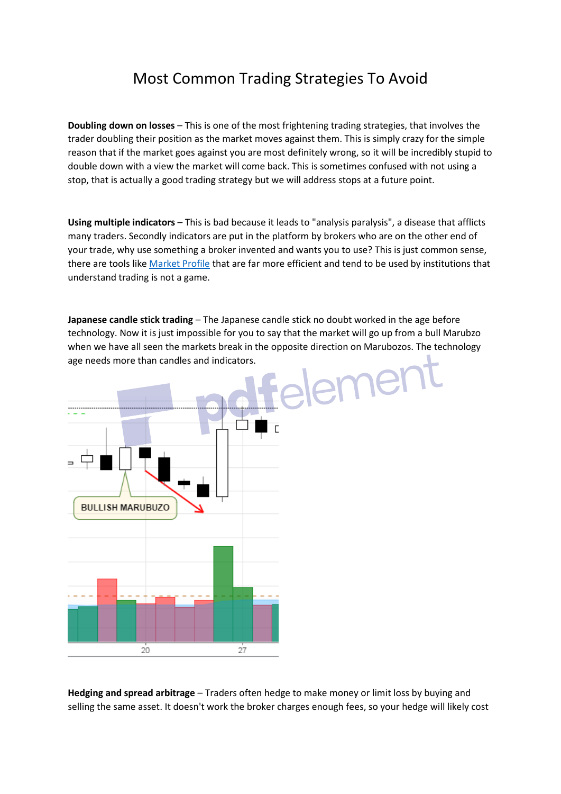## Most Common Trading Strategies To Avoid

**Doubling down on losses** – This is one of the most frightening trading strategies, that involves the trader doubling their position as the market moves against them. This is simply crazy for the simple reason that if the market goes against you are most definitely wrong, so it will be incredibly stupid to double down with a view the market will come back. This is sometimes confused with not using a stop, that is actually a good trading strategy but we will address stops at a future point.

**Using multiple indicators** – This is bad because it leads to "analysis paralysis", a disease that afflicts many traders. Secondly indicators are put in the platform by brokers who are on the other end of your trade, why use something a broker invented and wants you to use? This is just common sense, there are tools like [Market Profile](https://docs.wixstatic.com/ugd/bfedf4_6788510ea802427195feb391331b2543.pdf) that are far more efficient and tend to be used by institutions that understand trading is not a game.

**Japanese candle stick trading** – The Japanese candle stick no doubt worked in the age before technology. Now it is just impossible for you to say that the market will go up from a bull Marubzo when we have all seen the markets break in the opposite direction on Marubozos. The technology age needs more than candles and indicators.



**Hedging and spread arbitrage** – Traders often hedge to make money or limit loss by buying and selling the same asset. It doesn't work the broker charges enough fees, so your hedge will likely cost